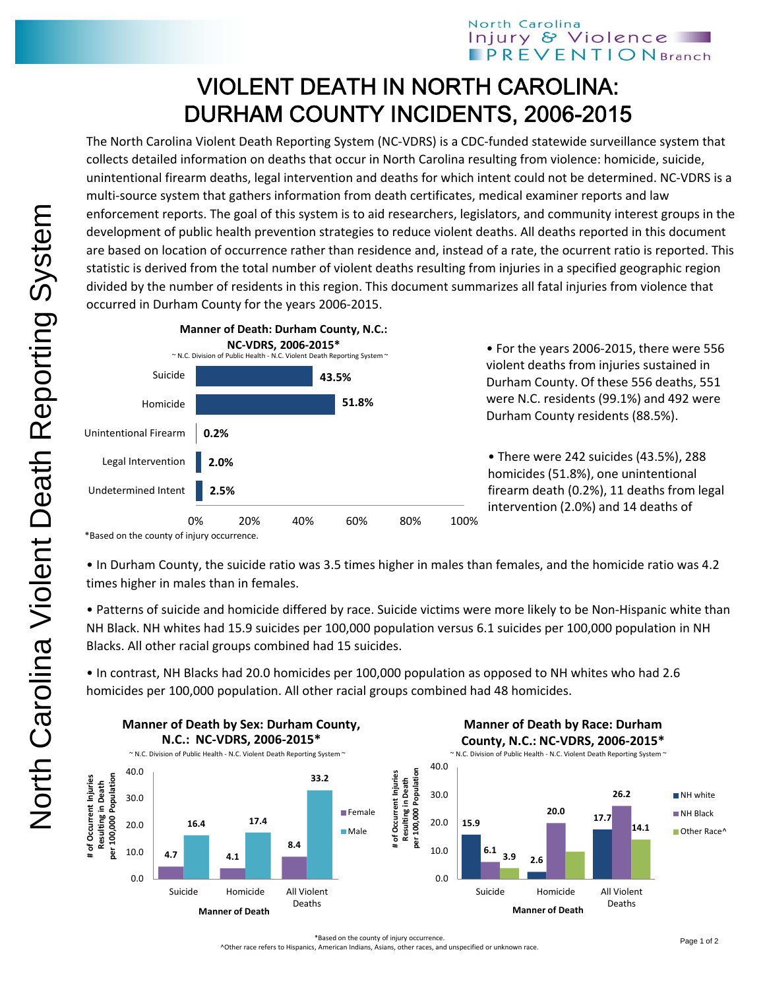## VIOLENT DEATH IN NORTH CAROLINA: DURHAM COUNTY INCIDENTS, 2006-2015

The North Carolina Violent Death Reporting System (NC‐VDRS) is a CDC‐funded statewide surveillance system that collects detailed information on deaths that occur in North Carolina resulting from violence: homicide, suicide, unintentional firearm deaths, legal intervention and deaths for which intent could not be determined. NC‐VDRS is a multi-source system that gathers information from death certificates, medical examiner reports and law enforcement reports. The goal of this system is to aid researchers, legislators, and community interest groups in the development of public health prevention strategies to reduce violent deaths. All deaths reported in this document are based on location of occurrence rather than residence and, instead of a rate, the ocurrent ratio is reported. This statistic is derived from the total number of violent deaths resulting from injuries in a specified geographic region divided by the number of residents in this region. This document summarizes all fatal injuries from violence that occurred in Durham County for the years 2006‐2015.



• For the years 2006‐2015, there were 556 violent deaths from injuries sustained in Durham County. Of these 556 deaths, 551 were N.C. residents (99.1%) and 492 were Durham County residents (88.5%).

• There were 242 suicides (43.5%), 288 homicides (51.8%), one unintentional firearm death (0.2%), 11 deaths from legal intervention (2.0%) and 14 deaths of

• In Durham County, the suicide ratio was 3.5 times higher in males than females, and the homicide ratio was 4.2 times higher in males than in females.

• Patterns of suicide and homicide differed by race. Suicide victims were more likely to be Non‐Hispanic white than NH Black. NH whites had 15.9 suicides per 100,000 population versus 6.1 suicides per 100,000 population in NH Blacks. All other racial groups combined had 15 suicides.

• In contrast, NH Blacks had 20.0 homicides per 100,000 population as opposed to NH whites who had 2.6 homicides per 100,000 population. All other racial groups combined had 48 homicides.



^Other race refers to Hispanics, American Indians, Asians, other races, and unspecified or unknown race.

<sup>\*</sup>Based on the county of injury occurrence.